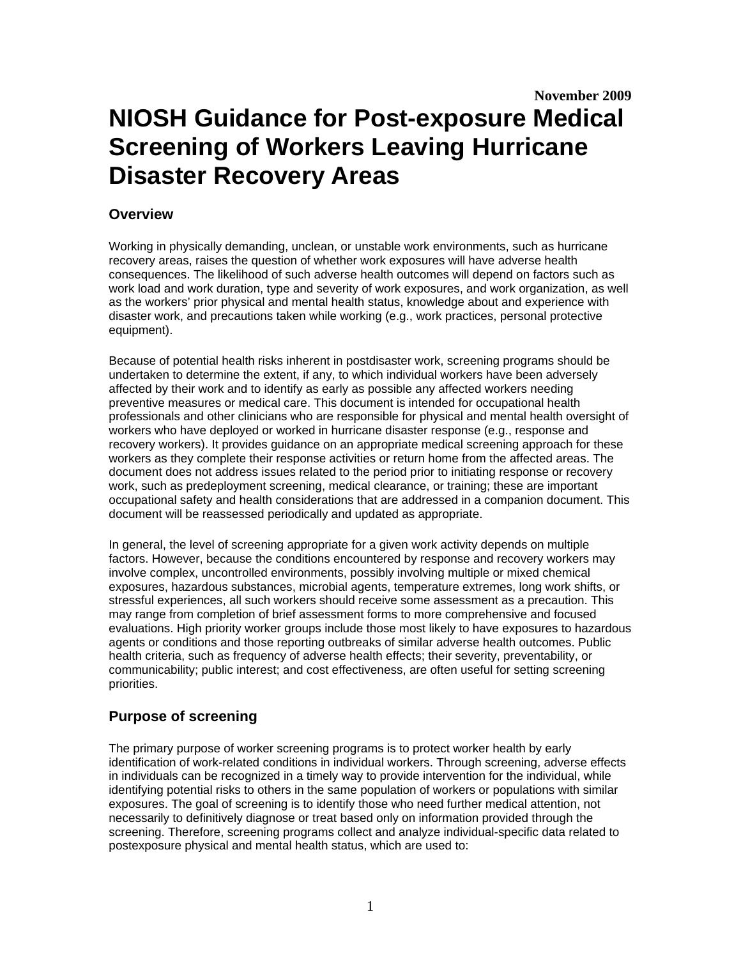# **Overview**

Working in physically demanding, unclean, or unstable work environments, such as hurricane recovery areas, raises the question of whether work exposures will have adverse health consequences. The likelihood of such adverse health outcomes will depend on factors such as work load and work duration, type and severity of work exposures, and work organization, as well as the workers' prior physical and mental health status, knowledge about and experience with disaster work, and precautions taken while working (e.g., work practices, personal protective equipment).

Because of potential health risks inherent in postdisaster work, screening programs should be undertaken to determine the extent, if any, to which individual workers have been adversely affected by their work and to identify as early as possible any affected workers needing preventive measures or medical care. This document is intended for occupational health professionals and other clinicians who are responsible for physical and mental health oversight of workers who have deployed or worked in hurricane disaster response (e.g., response and recovery workers). It provides guidance on an appropriate medical screening approach for these workers as they complete their response activities or return home from the affected areas. The document does not address issues related to the period prior to initiating response or recovery work, such as predeployment screening, medical clearance, or training; these are important occupational safety and health considerations that are addressed in a companion document. This document will be reassessed periodically and updated as appropriate.

In general, the level of screening appropriate for a given work activity depends on multiple factors. However, because the conditions encountered by response and recovery workers may involve complex, uncontrolled environments, possibly involving multiple or mixed chemical exposures, hazardous substances, microbial agents, temperature extremes, long work shifts, or stressful experiences, all such workers should receive some assessment as a precaution. This may range from completion of brief assessment forms to more comprehensive and focused evaluations. High priority worker groups include those most likely to have exposures to hazardous agents or conditions and those reporting outbreaks of similar adverse health outcomes. Public health criteria, such as frequency of adverse health effects; their severity, preventability, or communicability; public interest; and cost effectiveness, are often useful for setting screening priorities.

# **Purpose of screening**

The primary purpose of worker screening programs is to protect worker health by early identification of work-related conditions in individual workers. Through screening, adverse effects in individuals can be recognized in a timely way to provide intervention for the individual, while identifying potential risks to others in the same population of workers or populations with similar exposures. The goal of screening is to identify those who need further medical attention, not necessarily to definitively diagnose or treat based only on information provided through the screening. Therefore, screening programs collect and analyze individual-specific data related to postexposure physical and mental health status, which are used to: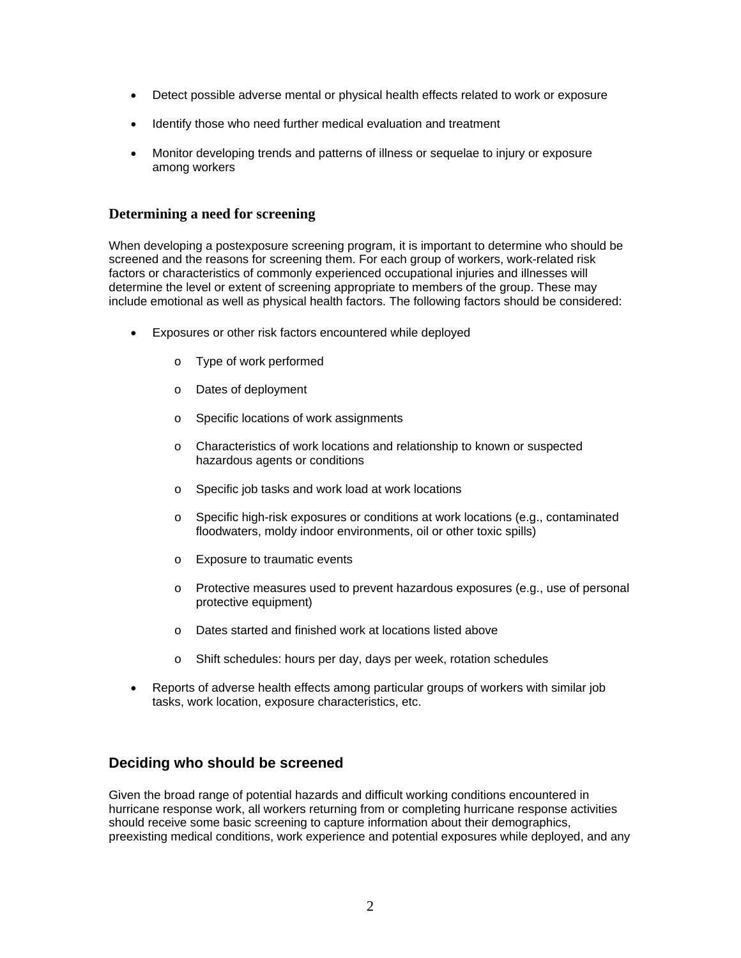- Detect possible adverse mental or physical health effects related to work or exposure
- Identify those who need further medical evaluation and treatment
- Monitor developing trends and patterns of illness or sequelae to injury or exposure among workers

# **Determining a need for screening**

When developing a postexposure screening program, it is important to determine who should be screened and the reasons for screening them. For each group of workers, work-related risk factors or characteristics of commonly experienced occupational injuries and illnesses will determine the level or extent of screening appropriate to members of the group. These may include emotional as well as physical health factors. The following factors should be considered:

- Exposures or other risk factors encountered while deployed
	- o Type of work performed
	- o Dates of deployment
	- o Specific locations of work assignments
	- o Characteristics of work locations and relationship to known or suspected hazardous agents or conditions
	- o Specific job tasks and work load at work locations
	- o Specific high-risk exposures or conditions at work locations (e.g., contaminated floodwaters, moldy indoor environments, oil or other toxic spills)
	- o Exposure to traumatic events
	- o Protective measures used to prevent hazardous exposures (e.g., use of personal protective equipment)
	- o Dates started and finished work at locations listed above
	- o Shift schedules: hours per day, days per week, rotation schedules
- Reports of adverse health effects among particular groups of workers with similar job tasks, work location, exposure characteristics, etc.

# **Deciding who should be screened**

Given the broad range of potential hazards and difficult working conditions encountered in hurricane response work, all workers returning from or completing hurricane response activities should receive some basic screening to capture information about their demographics, preexisting medical conditions, work experience and potential exposures while deployed, and any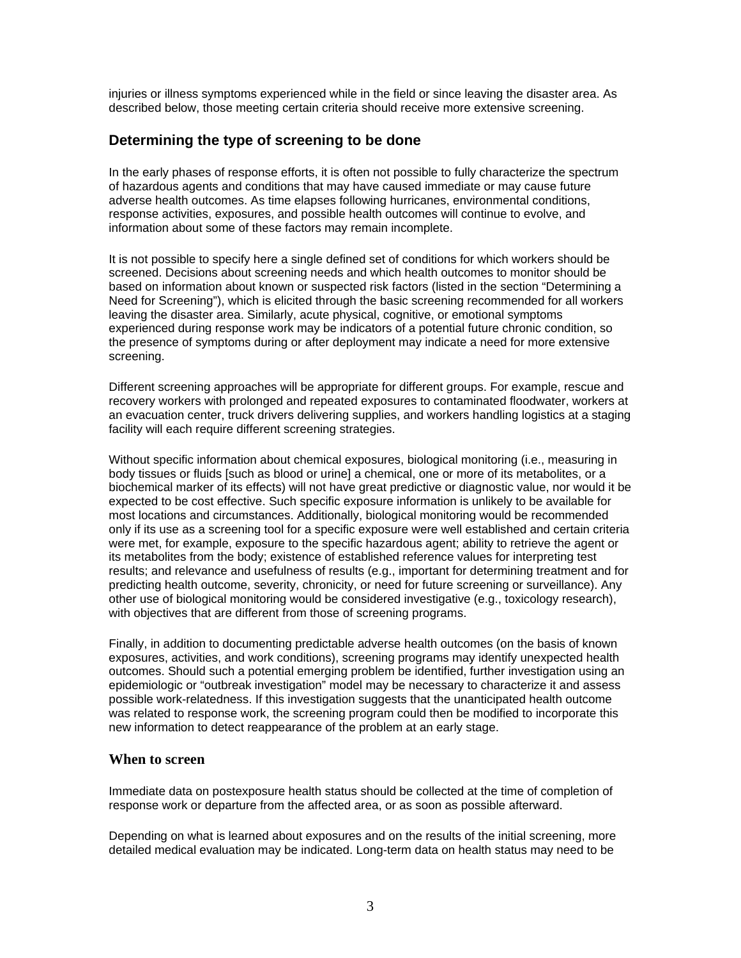injuries or illness symptoms experienced while in the field or since leaving the disaster area. As described below, those meeting certain criteria should receive more extensive screening.

# **Determining the type of screening to be done**

In the early phases of response efforts, it is often not possible to fully characterize the spectrum of hazardous agents and conditions that may have caused immediate or may cause future adverse health outcomes. As time elapses following hurricanes, environmental conditions, response activities, exposures, and possible health outcomes will continue to evolve, and information about some of these factors may remain incomplete.

It is not possible to specify here a single defined set of conditions for which workers should be screened. Decisions about screening needs and which health outcomes to monitor should be based on information about known or suspected risk factors (listed in the section "Determining a Need for Screening"), which is elicited through the basic screening recommended for all workers leaving the disaster area. Similarly, acute physical, cognitive, or emotional symptoms experienced during response work may be indicators of a potential future chronic condition, so the presence of symptoms during or after deployment may indicate a need for more extensive screening.

Different screening approaches will be appropriate for different groups. For example, rescue and recovery workers with prolonged and repeated exposures to contaminated floodwater, workers at an evacuation center, truck drivers delivering supplies, and workers handling logistics at a staging facility will each require different screening strategies.

Without specific information about chemical exposures, biological monitoring (i.e., measuring in body tissues or fluids [such as blood or urine] a chemical, one or more of its metabolites, or a biochemical marker of its effects) will not have great predictive or diagnostic value, nor would it be expected to be cost effective. Such specific exposure information is unlikely to be available for most locations and circumstances. Additionally, biological monitoring would be recommended only if its use as a screening tool for a specific exposure were well established and certain criteria were met, for example, exposure to the specific hazardous agent; ability to retrieve the agent or its metabolites from the body; existence of established reference values for interpreting test results; and relevance and usefulness of results (e.g., important for determining treatment and for predicting health outcome, severity, chronicity, or need for future screening or surveillance). Any other use of biological monitoring would be considered investigative (e.g., toxicology research), with objectives that are different from those of screening programs.

Finally, in addition to documenting predictable adverse health outcomes (on the basis of known exposures, activities, and work conditions), screening programs may identify unexpected health outcomes. Should such a potential emerging problem be identified, further investigation using an epidemiologic or "outbreak investigation" model may be necessary to characterize it and assess possible work-relatedness. If this investigation suggests that the unanticipated health outcome was related to response work, the screening program could then be modified to incorporate this new information to detect reappearance of the problem at an early stage.

# **When to screen**

Immediate data on postexposure health status should be collected at the time of completion of response work or departure from the affected area, or as soon as possible afterward.

Depending on what is learned about exposures and on the results of the initial screening, more detailed medical evaluation may be indicated. Long-term data on health status may need to be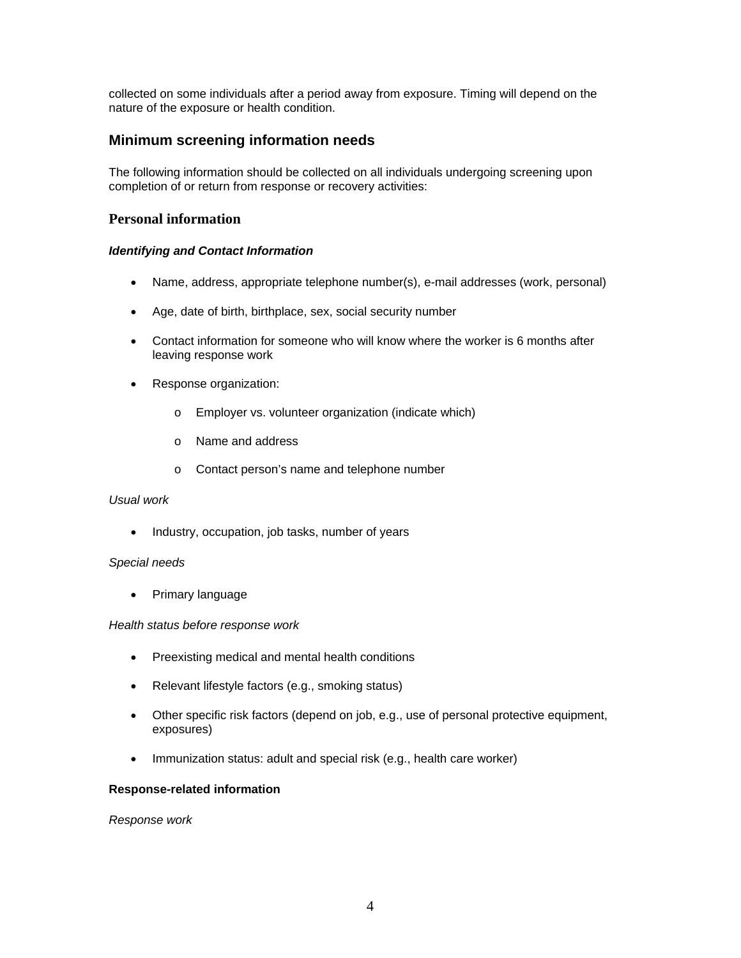collected on some individuals after a period away from exposure. Timing will depend on the nature of the exposure or health condition.

# **Minimum screening information needs**

The following information should be collected on all individuals undergoing screening upon completion of or return from response or recovery activities:

# **Personal information**

### *Identifying and Contact Information*

- Name, address, appropriate telephone number(s), e-mail addresses (work, personal)
- Age, date of birth, birthplace, sex, social security number
- Contact information for someone who will know where the worker is 6 months after leaving response work
- Response organization:
	- o Employer vs. volunteer organization (indicate which)
	- o Name and address
	- o Contact person's name and telephone number

#### *Usual work*

• Industry, occupation, job tasks, number of years

#### *Special needs*

• Primary language

#### *Health status before response work*

- Preexisting medical and mental health conditions
- Relevant lifestyle factors (e.g., smoking status)
- Other specific risk factors (depend on job, e.g., use of personal protective equipment, exposures)
- Immunization status: adult and special risk (e.g., health care worker)

#### **Response-related information**

*Response work*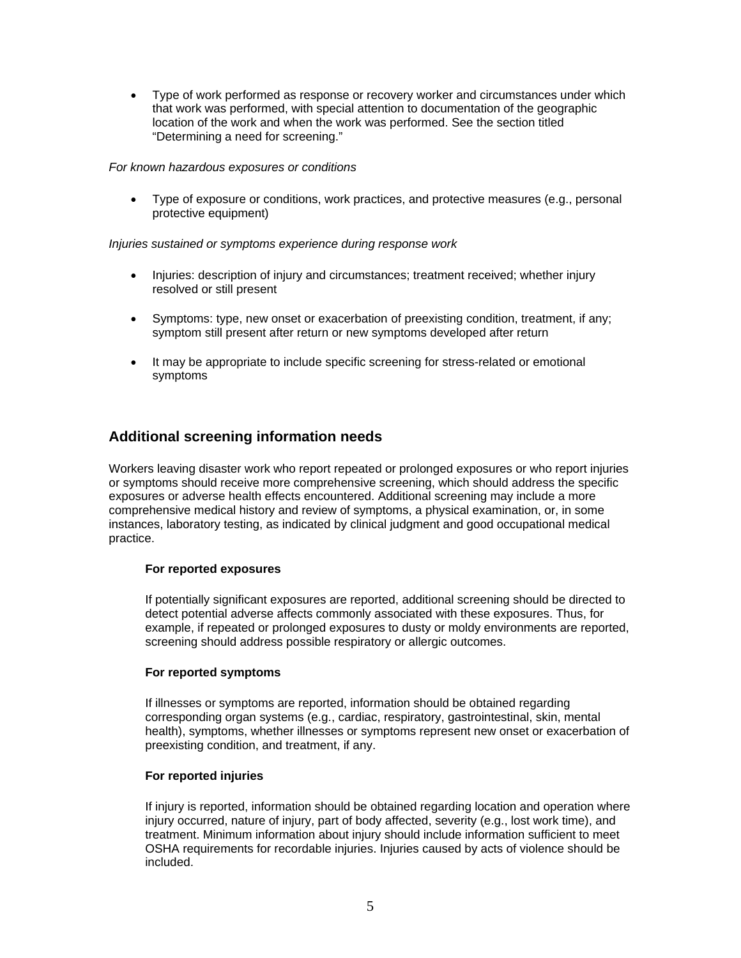Type of work performed as response or recovery worker and circumstances under which that work was performed, with special attention to documentation of the geographic location of the work and when the work was performed. See the section titled "Determining a need for screening."

#### *For known hazardous exposures or conditions*

 Type of exposure or conditions, work practices, and protective measures (e.g., personal protective equipment)

### *Injuries sustained or symptoms experience during response work*

- Injuries: description of injury and circumstances; treatment received; whether injury resolved or still present
- Symptoms: type, new onset or exacerbation of preexisting condition, treatment, if any; symptom still present after return or new symptoms developed after return
- It may be appropriate to include specific screening for stress-related or emotional symptoms

# **Additional screening information needs**

Workers leaving disaster work who report repeated or prolonged exposures or who report injuries or symptoms should receive more comprehensive screening, which should address the specific exposures or adverse health effects encountered. Additional screening may include a more comprehensive medical history and review of symptoms, a physical examination, or, in some instances, laboratory testing, as indicated by clinical judgment and good occupational medical practice.

# **For reported exposures**

If potentially significant exposures are reported, additional screening should be directed to detect potential adverse affects commonly associated with these exposures. Thus, for example, if repeated or prolonged exposures to dusty or moldy environments are reported, screening should address possible respiratory or allergic outcomes.

# **For reported symptoms**

If illnesses or symptoms are reported, information should be obtained regarding corresponding organ systems (e.g., cardiac, respiratory, gastrointestinal, skin, mental health), symptoms, whether illnesses or symptoms represent new onset or exacerbation of preexisting condition, and treatment, if any.

# **For reported injuries**

If injury is reported, information should be obtained regarding location and operation where injury occurred, nature of injury, part of body affected, severity (e.g., lost work time), and treatment. Minimum information about injury should include information sufficient to meet OSHA requirements for recordable injuries. Injuries caused by acts of violence should be included.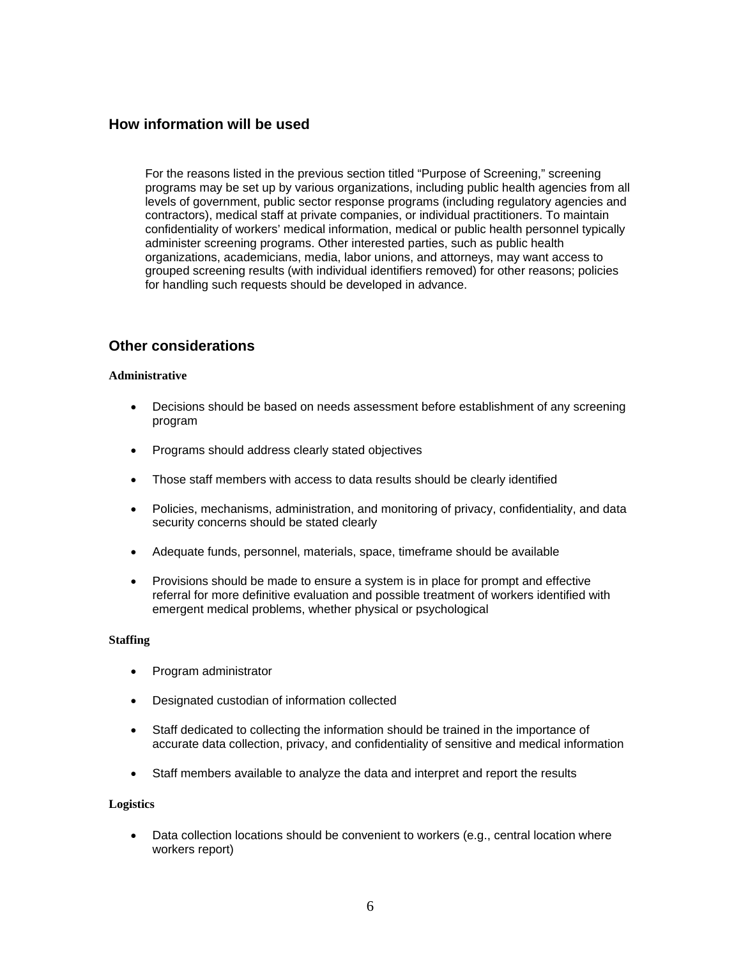# **How information will be used**

For the reasons listed in the previous section titled "Purpose of Screening," screening programs may be set up by various organizations, including public health agencies from all levels of government, public sector response programs (including regulatory agencies and contractors), medical staff at private companies, or individual practitioners. To maintain confidentiality of workers' medical information, medical or public health personnel typically administer screening programs. Other interested parties, such as public health organizations, academicians, media, labor unions, and attorneys, may want access to grouped screening results (with individual identifiers removed) for other reasons; policies for handling such requests should be developed in advance.

# **Other considerations**

#### **Administrative**

- Decisions should be based on needs assessment before establishment of any screening program
- Programs should address clearly stated objectives
- Those staff members with access to data results should be clearly identified
- Policies, mechanisms, administration, and monitoring of privacy, confidentiality, and data security concerns should be stated clearly
- Adequate funds, personnel, materials, space, timeframe should be available
- Provisions should be made to ensure a system is in place for prompt and effective referral for more definitive evaluation and possible treatment of workers identified with emergent medical problems, whether physical or psychological

#### **Staffing**

- Program administrator
- Designated custodian of information collected
- Staff dedicated to collecting the information should be trained in the importance of accurate data collection, privacy, and confidentiality of sensitive and medical information
- Staff members available to analyze the data and interpret and report the results

#### **Logistics**

• Data collection locations should be convenient to workers (e.g., central location where workers report)